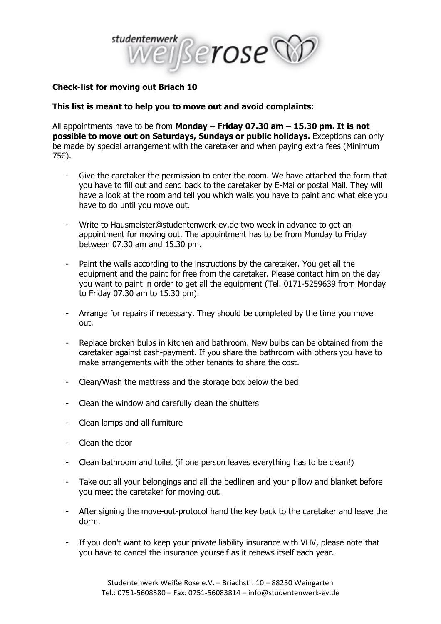

## **Check-list for moving out Briach 10**

## **This list is meant to help you to move out and avoid complaints:**

All appointments have to be from **Monday – Friday 07.30 am – 15.30 pm. It is not possible to move out on Saturdays, Sundays or public holidays.** Exceptions can only be made by special arrangement with the caretaker and when paying extra fees (Minimum 75€).

- Give the caretaker the permission to enter the room. We have attached the form that you have to fill out and send back to the caretaker by E-Mai or postal Mail. They will have a look at the room and tell you which walls you have to paint and what else you have to do until you move out.
- Write to Hausmeister@studentenwerk-ev.de two week in advance to get an appointment for moving out. The appointment has to be from Monday to Friday between 07.30 am and 15.30 pm.
- Paint the walls according to the instructions by the caretaker. You get all the equipment and the paint for free from the caretaker. Please contact him on the day you want to paint in order to get all the equipment (Tel. 0171-5259639 from Monday to Friday 07.30 am to 15.30 pm).
- Arrange for repairs if necessary. They should be completed by the time you move out.
- Replace broken bulbs in kitchen and bathroom. New bulbs can be obtained from the caretaker against cash-payment. If you share the bathroom with others you have to make arrangements with the other tenants to share the cost.
- Clean/Wash the mattress and the storage box below the bed
- Clean the window and carefully clean the shutters
- Clean lamps and all furniture
- Clean the door
- Clean bathroom and toilet (if one person leaves everything has to be clean!)
- Take out all your belongings and all the bedlinen and your pillow and blanket before you meet the caretaker for moving out.
- After signing the move-out-protocol hand the key back to the caretaker and leave the dorm.
- If you don't want to keep your private liability insurance with VHV, please note that you have to cancel the insurance yourself as it renews itself each year.